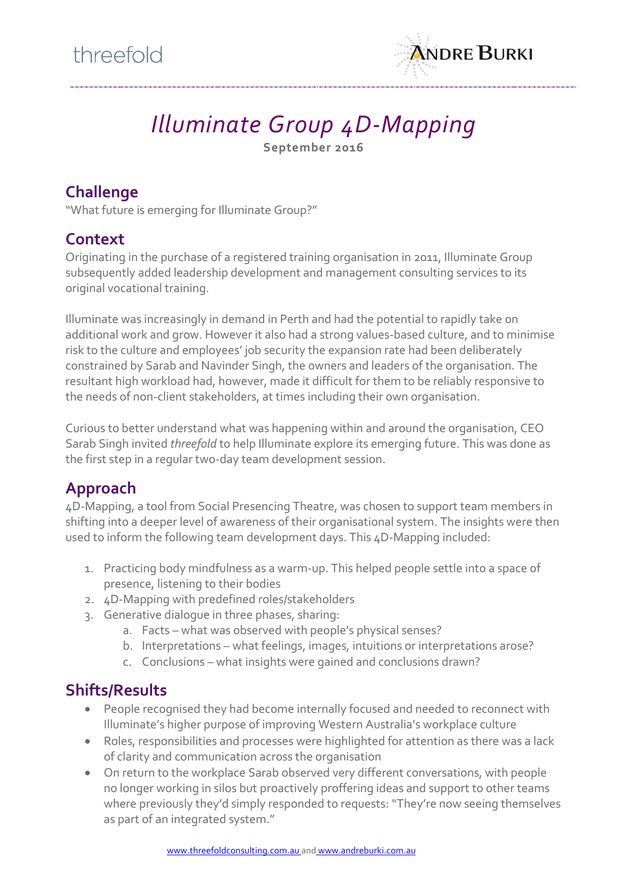

# *Illuminate Group 4D-Mapping* **September 2016**

### **Challenge**

"What future is emerging for Illuminate Group?"

#### **Context**

Originating in the purchase of a registered training organisation in 2011, Illuminate Group subsequently added leadership development and management consulting services to its original vocational training.

Illuminate was increasingly in demand in Perth and had the potential to rapidly take on additional work and grow. However it also had a strong values-based culture, and to minimise risk to the culture and employees' job security the expansion rate had been deliberately constrained by Sarab and Navinder Singh, the owners and leaders of the organisation. The resultant high workload had, however, made it difficult for them to be reliably responsive to the needs of non-client stakeholders, at times including their own organisation.

Curious to better understand what was happening within and around the organisation, CEO Sarab Singh invited *threefold* to help Illuminate explore its emerging future. This was done as the first step in a regular two-day team development session.

## **Approach**

4D-Mapping, a tool from Social Presencing Theatre, was chosen to support team members in shifting into a deeper level of awareness of their organisational system. The insights were then used to inform the following team development days. This 4D-Mapping included:

- 1. Practicing body mindfulness as a warm-up. This helped people settle into a space of presence, listening to their bodies
- 2. 4D-Mapping with predefined roles/stakeholders
- 3. Generative dialogue in three phases, sharing:
	- a. Facts what was observed with people's physical senses?
	- b. Interpretations what feelings, images, intuitions or interpretations arose?
	- c. Conclusions what insights were gained and conclusions drawn?

#### **Shifts/Results**

- People recognised they had become internally focused and needed to reconnect with Illuminate's higher purpose of improving Western Australia's workplace culture
- Roles, responsibilities and processes were highlighted for attention as there was a lack of clarity and communication across the organisation
- On return to the workplace Sarab observed very different conversations, with people no longer working in silos but proactively proffering ideas and support to other teams where previously they'd simply responded to requests: "They're now seeing themselves as part of an integrated system."